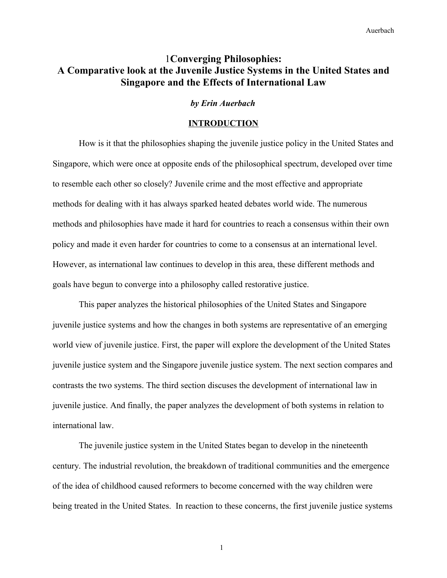# 1**Converging Philosophies: A Comparative look at the Juvenile Justice Systems in the United States and Singapore and the Effects of International Law**

#### *by Erin Auerbach*

#### **INTRODUCTION**

How is it that the philosophies shaping the juvenile justice policy in the United States and Singapore, which were once at opposite ends of the philosophical spectrum, developed over time to resemble each other so closely? Juvenile crime and the most effective and appropriate methods for dealing with it has always sparked heated debates world wide. The numerous methods and philosophies have made it hard for countries to reach a consensus within their own policy and made it even harder for countries to come to a consensus at an international level. However, as international law continues to develop in this area, these different methods and goals have begun to converge into a philosophy called restorative justice.

This paper analyzes the historical philosophies of the United States and Singapore juvenile justice systems and how the changes in both systems are representative of an emerging world view of juvenile justice. First, the paper will explore the development of the United States juvenile justice system and the Singapore juvenile justice system. The next section compares and contrasts the two systems. The third section discuses the development of international law in juvenile justice. And finally, the paper analyzes the development of both systems in relation to international law.

The juvenile justice system in the United States began to develop in the nineteenth century. The industrial revolution, the breakdown of traditional communities and the emergence of the idea of childhood caused reformers to become concerned with the way children were being treated in the United States. In reaction to these concerns, the first juvenile justice systems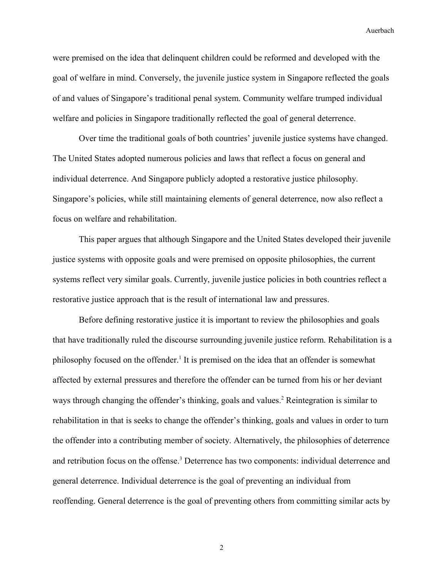were premised on the idea that delinquent children could be reformed and developed with the goal of welfare in mind. Conversely, the juvenile justice system in Singapore reflected the goals of and values of Singapore's traditional penal system. Community welfare trumped individual welfare and policies in Singapore traditionally reflected the goal of general deterrence.

Over time the traditional goals of both countries' juvenile justice systems have changed. The United States adopted numerous policies and laws that reflect a focus on general and individual deterrence. And Singapore publicly adopted a restorative justice philosophy. Singapore's policies, while still maintaining elements of general deterrence, now also reflect a focus on welfare and rehabilitation.

This paper argues that although Singapore and the United States developed their juvenile justice systems with opposite goals and were premised on opposite philosophies, the current systems reflect very similar goals. Currently, juvenile justice policies in both countries reflect a restorative justice approach that is the result of international law and pressures.

Before defining restorative justice it is important to review the philosophies and goals that have traditionally ruled the discourse surrounding juvenile justice reform. Rehabilitation is a philosophy focused on the offender.<sup>[1](#page-34-0)</sup> It is premised on the idea that an offender is somewhat affected by external pressures and therefore the offender can be turned from his or her deviant ways through changing the offender's thinking, goals and values.<sup>[2](#page-34-1)</sup> Reintegration is similar to rehabilitation in that is seeks to change the offender's thinking, goals and values in order to turn the offender into a contributing member of society. Alternatively, the philosophies of deterrence and retribution focus on the offense.<sup>[3](#page-34-2)</sup> Deterrence has two components: individual deterrence and general deterrence. Individual deterrence is the goal of preventing an individual from reoffending. General deterrence is the goal of preventing others from committing similar acts by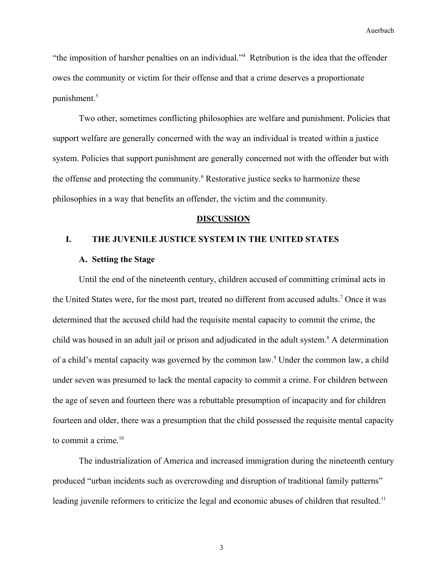"the imposition of harsher penalties on an individual."[4](#page-34-3) Retribution is the idea that the offender owes the community or victim for their offense and that a crime deserves a proportionate punishment.<sup>[5](#page-34-4)</sup>

Two other, sometimes conflicting philosophies are welfare and punishment. Policies that support welfare are generally concerned with the way an individual is treated within a justice system. Policies that support punishment are generally concerned not with the offender but with the offense and protecting the community.<sup>[6](#page-34-5)</sup> Restorative justice seeks to harmonize these philosophies in a way that benefits an offender, the victim and the community.

#### **DISCUSSION**

## **I. THE JUVENILE JUSTICE SYSTEM IN THE UNITED STATES**

#### **A. Setting the Stage**

Until the end of the nineteenth century, children accused of committing criminal acts in the United States were, for the most part, treated no different from accused adults.<sup>[7](#page-34-6)</sup> Once it was determined that the accused child had the requisite mental capacity to commit the crime, the child was housed in an adult jail or prison and adjudicated in the adult system.<sup>[8](#page-34-7)</sup> A determination of a child's mental capacity was governed by the common law.<sup>[9](#page-34-8)</sup> Under the common law, a child under seven was presumed to lack the mental capacity to commit a crime. For children between the age of seven and fourteen there was a rebuttable presumption of incapacity and for children fourteen and older, there was a presumption that the child possessed the requisite mental capacity to commit a crime.<sup>[10](#page-34-9)</sup>

The industrialization of America and increased immigration during the nineteenth century produced "urban incidents such as overcrowding and disruption of traditional family patterns" leading juvenile reformers to criticize the legal and economic abuses of children that resulted.<sup>[11](#page-34-10)</sup>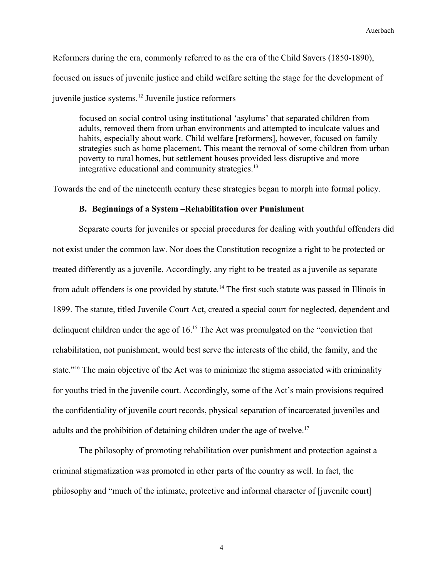Reformers during the era, commonly referred to as the era of the Child Savers (1850-1890), focused on issues of juvenile justice and child welfare setting the stage for the development of juvenile justice systems.[12](#page-34-11) Juvenile justice reformers

focused on social control using institutional 'asylums' that separated children from adults, removed them from urban environments and attempted to inculcate values and habits, especially about work. Child welfare [reformers], however, focused on family strategies such as home placement. This meant the removal of some children from urban poverty to rural homes, but settlement houses provided less disruptive and more integrative educational and community strategies.<sup>[13](#page-34-12)</sup>

Towards the end of the nineteenth century these strategies began to morph into formal policy.

## **B. Beginnings of a System –Rehabilitation over Punishment**

Separate courts for juveniles or special procedures for dealing with youthful offenders did not exist under the common law. Nor does the Constitution recognize a right to be protected or treated differently as a juvenile. Accordingly, any right to be treated as a juvenile as separate from adult offenders is one provided by statute.[14](#page-29-0) The first such statute was passed in Illinois in 1899. The statute, titled Juvenile Court Act, created a special court for neglected, dependent and delinquent children under the age of 16.[15](#page-30-0) The Act was promulgated on the "conviction that rehabilitation, not punishment, would best serve the interests of the child, the family, and the state."<sup>[16](#page-30-1)</sup> The main objective of the Act was to minimize the stigma associated with criminality for youths tried in the juvenile court. Accordingly, some of the Act's main provisions required the confidentiality of juvenile court records, physical separation of incarcerated juveniles and adults and the prohibition of detaining children under the age of twelve.<sup>[17](#page-30-2)</sup>

The philosophy of promoting rehabilitation over punishment and protection against a criminal stigmatization was promoted in other parts of the country as well. In fact, the philosophy and "much of the intimate, protective and informal character of [juvenile court]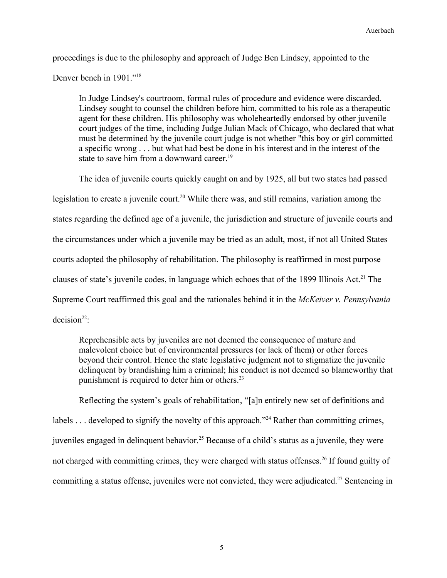proceedings is due to the philosophy and approach of Judge Ben Lindsey, appointed to the

Denver bench in 1901."[18](#page-30-3)

In Judge Lindsey's courtroom, formal rules of procedure and evidence were discarded. Lindsey sought to counsel the children before him, committed to his role as a therapeutic agent for these children. His philosophy was wholeheartedly endorsed by other juvenile court judges of the time, including Judge Julian Mack of Chicago, who declared that what must be determined by the juvenile court judge is not whether "this boy or girl committed a specific wrong . . . but what had best be done in his interest and in the interest of the state to save him from a downward career.<sup>[19](#page-30-4)</sup>

The idea of juvenile courts quickly caught on and by 1925, all but two states had passed legislation to create a juvenile court.<sup>[20](#page-30-5)</sup> While there was, and still remains, variation among the states regarding the defined age of a juvenile, the jurisdiction and structure of juvenile courts and the circumstances under which a juvenile may be tried as an adult, most, if not all United States courts adopted the philosophy of rehabilitation. The philosophy is reaffirmed in most purpose clauses of state's juvenile codes, in language which echoes that of the 1899 Illinois Act.<sup>[21](#page-30-6)</sup> The Supreme Court reaffirmed this goal and the rationales behind it in the *McKeiver v. Pennsylvania*  $decision<sup>22</sup>$  $decision<sup>22</sup>$  $decision<sup>22</sup>$ :

Reprehensible acts by juveniles are not deemed the consequence of mature and malevolent choice but of environmental pressures (or lack of them) or other forces beyond their control. Hence the state legislative judgment not to stigmatize the juvenile delinquent by brandishing him a criminal; his conduct is not deemed so blameworthy that punishment is required to deter him or others.<sup>[23](#page-30-8)</sup>

Reflecting the system's goals of rehabilitation, "[a]n entirely new set of definitions and labels . . . developed to signify the novelty of this approach."<sup>[24](#page-30-9)</sup> Rather than committing crimes, juveniles engaged in delinquent behavior.<sup>[25](#page-30-10)</sup> Because of a child's status as a juvenile, they were not charged with committing crimes, they were charged with status offenses.<sup>[26](#page-30-11)</sup> If found guilty of committing a status offense, juveniles were not convicted, they were adjudicated.<sup>[27](#page-30-12)</sup> Sentencing in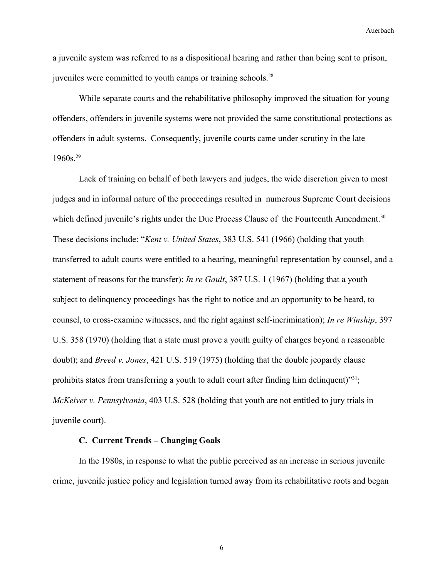a juvenile system was referred to as a dispositional hearing and rather than being sent to prison, juveniles were committed to youth camps or training schools.<sup>[28](#page-30-13)</sup>

While separate courts and the rehabilitative philosophy improved the situation for young offenders, offenders in juvenile systems were not provided the same constitutional protections as offenders in adult systems. Consequently, juvenile courts came under scrutiny in the late  $1960s.<sup>29</sup>$  $1960s.<sup>29</sup>$  $1960s.<sup>29</sup>$ 

Lack of training on behalf of both lawyers and judges, the wide discretion given to most judges and in informal nature of the proceedings resulted in numerous Supreme Court decisions which defined juvenile's rights under the Due Process Clause of the Fourteenth Amendment.<sup>[30](#page-30-15)</sup> These decisions include: "*Kent v. United States*, 383 U.S. 541 (1966) (holding that youth transferred to adult courts were entitled to a hearing, meaningful representation by counsel, and a statement of reasons for the transfer); *In re Gault*, 387 U.S. 1 (1967) (holding that a youth subject to delinquency proceedings has the right to notice and an opportunity to be heard, to counsel, to cross-examine witnesses, and the right against self-incrimination); *In re Winship*, 397 U.S. 358 (1970) (holding that a state must prove a youth guilty of charges beyond a reasonable doubt); and *Breed v. Jones*, 421 U.S. 519 (1975) (holding that the double jeopardy clause prohibits states from transferring a youth to adult court after finding him delinquent)"<sup>[31](#page-30-16)</sup>; *McKeiver v. Pennsylvania*, 403 U.S. 528 (holding that youth are not entitled to jury trials in juvenile court).

### **C. Current Trends – Changing Goals**

In the 1980s, in response to what the public perceived as an increase in serious juvenile crime, juvenile justice policy and legislation turned away from its rehabilitative roots and began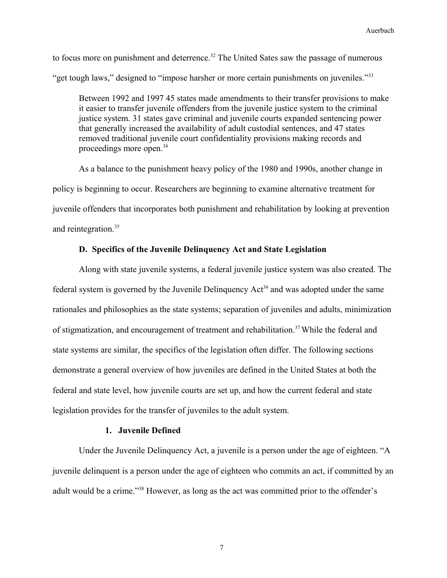to focus more on punishment and deterrence.<sup>[32](#page-30-17)</sup> The United Sates saw the passage of numerous "get tough laws," designed to "impose harsher or more certain punishments on juveniles."<sup>[33](#page-30-18)</sup>

Between 1992 and 1997 45 states made amendments to their transfer provisions to make it easier to transfer juvenile offenders from the juvenile justice system to the criminal justice system. 31 states gave criminal and juvenile courts expanded sentencing power that generally increased the availability of adult custodial sentences, and 47 states removed traditional juvenile court confidentiality provisions making records and proceedings more open.<sup>[34](#page-30-19)</sup>

As a balance to the punishment heavy policy of the 1980 and 1990s, another change in policy is beginning to occur. Researchers are beginning to examine alternative treatment for juvenile offenders that incorporates both punishment and rehabilitation by looking at prevention and reintegration.<sup>[35](#page-30-20)</sup>

## **D. Specifics of the Juvenile Delinquency Act and State Legislation**

Along with state juvenile systems, a federal juvenile justice system was also created. The federal system is governed by the Juvenile Delinquency  $Act<sup>36</sup>$  $Act<sup>36</sup>$  $Act<sup>36</sup>$  and was adopted under the same rationales and philosophies as the state systems; separation of juveniles and adults, minimization of stigmatization, and encouragement of treatment and rehabilitation.<sup>[37](#page-30-22)</sup> While the federal and state systems are similar, the specifics of the legislation often differ. The following sections demonstrate a general overview of how juveniles are defined in the United States at both the federal and state level, how juvenile courts are set up, and how the current federal and state legislation provides for the transfer of juveniles to the adult system.

## **1. Juvenile Defined**

Under the Juvenile Delinquency Act, a juvenile is a person under the age of eighteen. "A juvenile delinquent is a person under the age of eighteen who commits an act, if committed by an adult would be a crime."[38](#page-30-23) However, as long as the act was committed prior to the offender's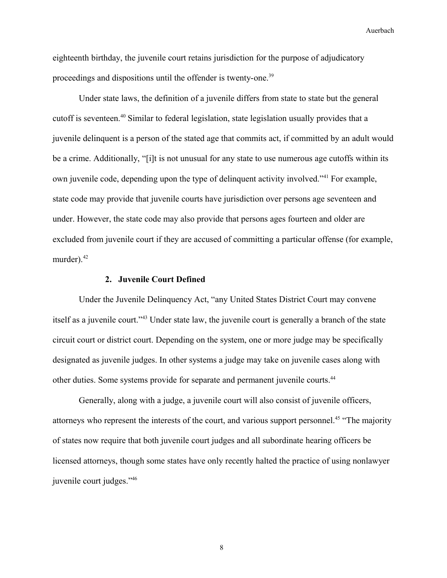eighteenth birthday, the juvenile court retains jurisdiction for the purpose of adjudicatory proceedings and dispositions until the offender is twenty-one.<sup>[39](#page-30-24)</sup>

Under state laws, the definition of a juvenile differs from state to state but the general cutoff is seventeen.<sup>[40](#page-30-25)</sup> Similar to federal legislation, state legislation usually provides that a juvenile delinquent is a person of the stated age that commits act, if committed by an adult would be a crime. Additionally, "[i]t is not unusual for any state to use numerous age cutoffs within its own juvenile code, depending upon the type of delinquent activity involved."[41](#page-30-26) For example, state code may provide that juvenile courts have jurisdiction over persons age seventeen and under. However, the state code may also provide that persons ages fourteen and older are excluded from juvenile court if they are accused of committing a particular offense (for example, murder). $42$ 

### **2. Juvenile Court Defined**

Under the Juvenile Delinquency Act, "any United States District Court may convene itself as a juvenile court."[43](#page-30-28) Under state law, the juvenile court is generally a branch of the state circuit court or district court. Depending on the system, one or more judge may be specifically designated as juvenile judges. In other systems a judge may take on juvenile cases along with other duties. Some systems provide for separate and permanent juvenile courts.<sup>[44](#page-30-29)</sup>

Generally, along with a judge, a juvenile court will also consist of juvenile officers, attorneys who represent the interests of the court, and various support personnel.<sup>[45](#page-30-30)</sup> "The majority" of states now require that both juvenile court judges and all subordinate hearing officers be licensed attorneys, though some states have only recently halted the practice of using nonlawyer juvenile court judges."[46](#page-30-31)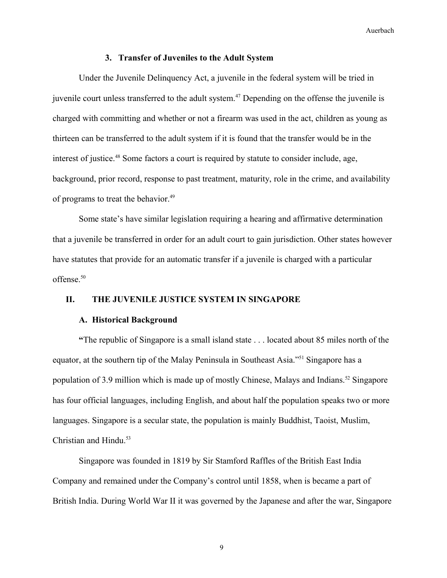### **3. Transfer of Juveniles to the Adult System**

Under the Juvenile Delinquency Act, a juvenile in the federal system will be tried in juvenile court unless transferred to the adult system.<sup>[47](#page-30-32)</sup> Depending on the offense the juvenile is charged with committing and whether or not a firearm was used in the act, children as young as thirteen can be transferred to the adult system if it is found that the transfer would be in the interest of justice.<sup>[48](#page-30-33)</sup> Some factors a court is required by statute to consider include, age, background, prior record, response to past treatment, maturity, role in the crime, and availability of programs to treat the behavior.<sup>[49](#page-30-34)</sup>

Some state's have similar legislation requiring a hearing and affirmative determination that a juvenile be transferred in order for an adult court to gain jurisdiction. Other states however have statutes that provide for an automatic transfer if a juvenile is charged with a particular offense.<sup>[50](#page-30-35)</sup>

## **II. THE JUVENILE JUSTICE SYSTEM IN SINGAPORE**

#### **A. Historical Background**

**"**The republic of Singapore is a small island state . . . located about 85 miles north of the equator, at the southern tip of the Malay Peninsula in Southeast Asia."[51](#page-30-36) Singapore has a population of 3.9 million which is made up of mostly Chinese, Malays and Indians.<sup>[52](#page-30-37)</sup> Singapore has four official languages, including English, and about half the population speaks two or more languages. Singapore is a secular state, the population is mainly Buddhist, Taoist, Muslim, Christian and Hindu.<sup>[53](#page-30-38)</sup>

Singapore was founded in 1819 by Sir Stamford Raffles of the British East India Company and remained under the Company's control until 1858, when is became a part of British India. During World War II it was governed by the Japanese and after the war, Singapore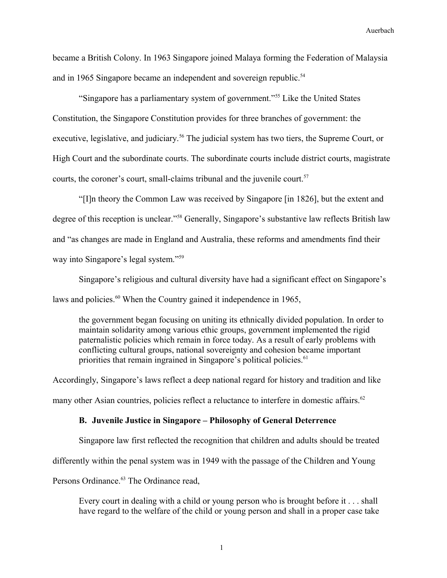became a British Colony. In 1963 Singapore joined Malaya forming the Federation of Malaysia and in 1965 Singapore became an independent and sovereign republic.<sup>[54](#page-30-39)</sup>

"Singapore has a parliamentary system of government."[55](#page-30-40) Like the United States Constitution, the Singapore Constitution provides for three branches of government: the executive, legislative, and judiciary.<sup>[56](#page-30-41)</sup> The judicial system has two tiers, the Supreme Court, or High Court and the subordinate courts. The subordinate courts include district courts, magistrate courts, the coroner's court, small-claims tribunal and the juvenile court.<sup>[57](#page-30-42)</sup>

"[I]n theory the Common Law was received by Singapore [in 1826], but the extent and degree of this reception is unclear."[58](#page-31-0) Generally, Singapore's substantive law reflects British law and "as changes are made in England and Australia, these reforms and amendments find their way into Singapore's legal system."[59](#page-31-1)

Singapore's religious and cultural diversity have had a significant effect on Singapore's laws and policies. $60$  When the Country gained it independence in 1965,

the government began focusing on uniting its ethnically divided population. In order to maintain solidarity among various ethic groups, government implemented the rigid paternalistic policies which remain in force today. As a result of early problems with conflicting cultural groups, national sovereignty and cohesion became important priorities that remain ingrained in Singapore's political policies.<sup>[61](#page-31-3)</sup>

Accordingly, Singapore's laws reflect a deep national regard for history and tradition and like many other Asian countries, policies reflect a reluctance to interfere in domestic affairs.<sup>[62](#page-31-4)</sup>

### **B. Juvenile Justice in Singapore – Philosophy of General Deterrence**

Singapore law first reflected the recognition that children and adults should be treated differently within the penal system was in 1949 with the passage of the Children and Young

Persons Ordinance.<sup>[63](#page-31-5)</sup> The Ordinance read,

Every court in dealing with a child or young person who is brought before it . . . shall have regard to the welfare of the child or young person and shall in a proper case take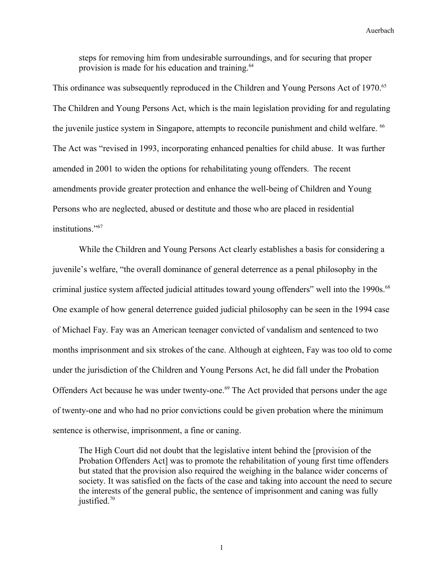steps for removing him from undesirable surroundings, and for securing that proper provision is made for his education and training.<sup>[64](#page-31-6)</sup>

This ordinance was subsequently reproduced in the Children and Young Persons Act of 1970.<sup>[65](#page-31-7)</sup> The Children and Young Persons Act, which is the main legislation providing for and regulating the juvenile justice system in Singapore, attempts to reconcile punishment and child welfare. <sup>[66](#page-31-8)</sup> The Act was "revised in 1993, incorporating enhanced penalties for child abuse. It was further amended in 2001 to widen the options for rehabilitating young offenders. The recent amendments provide greater protection and enhance the well-being of Children and Young Persons who are neglected, abused or destitute and those who are placed in residential institutions."[67](#page-31-9)

While the Children and Young Persons Act clearly establishes a basis for considering a juvenile's welfare, "the overall dominance of general deterrence as a penal philosophy in the criminal justice system affected judicial attitudes toward young offenders" well into the 1990s.<sup>[68](#page-31-10)</sup> One example of how general deterrence guided judicial philosophy can be seen in the 1994 case of Michael Fay. Fay was an American teenager convicted of vandalism and sentenced to two months imprisonment and six strokes of the cane. Although at eighteen, Fay was too old to come under the jurisdiction of the Children and Young Persons Act, he did fall under the Probation Offenders Act because he was under twenty-one.<sup>[69](#page-31-11)</sup> The Act provided that persons under the age of twenty-one and who had no prior convictions could be given probation where the minimum sentence is otherwise, imprisonment, a fine or caning.

The High Court did not doubt that the legislative intent behind the [provision of the Probation Offenders Act] was to promote the rehabilitation of young first time offenders but stated that the provision also required the weighing in the balance wider concerns of society. It was satisfied on the facts of the case and taking into account the need to secure the interests of the general public, the sentence of imprisonment and caning was fully justified.<sup>[70](#page-31-12)</sup>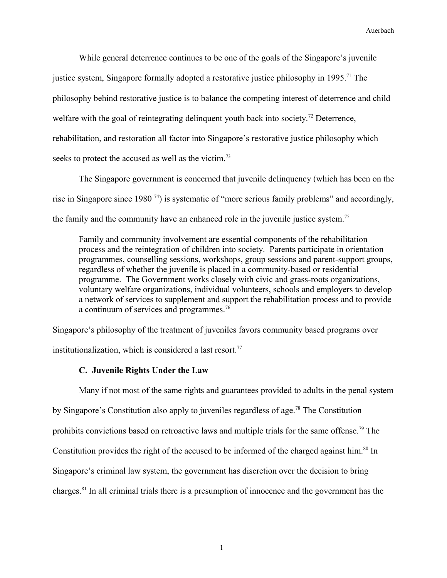While general deterrence continues to be one of the goals of the Singapore's juvenile justice system, Singapore formally adopted a restorative justice philosophy in 1995.<sup>[71](#page-31-13)</sup> The philosophy behind restorative justice is to balance the competing interest of deterrence and child welfare with the goal of reintegrating delinquent youth back into society.<sup>[72](#page-31-14)</sup> Deterrence, rehabilitation, and restoration all factor into Singapore's restorative justice philosophy which seeks to protect the accused as well as the victim.<sup>[73](#page-31-15)</sup>

The Singapore government is concerned that juvenile delinquency (which has been on the rise in Singapore since 1980 [74](#page-31-16)) is systematic of "more serious family problems" and accordingly, the family and the community have an enhanced role in the juvenile justice system.<sup>[75](#page-31-17)</sup>

Family and community involvement are essential components of the rehabilitation process and the reintegration of children into society. Parents participate in orientation programmes, counselling sessions, workshops, group sessions and parent-support groups, regardless of whether the juvenile is placed in a community-based or residential programme. The Government works closely with civic and grass-roots organizations, voluntary welfare organizations, individual volunteers, schools and employers to develop a network of services to supplement and support the rehabilitation process and to provide a continuum of services and programmes.<sup>[76](#page-31-18)</sup>

Singapore's philosophy of the treatment of juveniles favors community based programs over institutionalization, which is considered a last resort.<sup>[77](#page-31-19)</sup>

## **C. Juvenile Rights Under the Law**

Many if not most of the same rights and guarantees provided to adults in the penal system by Singapore's Constitution also apply to juveniles regardless of age.<sup>[78](#page-31-20)</sup> The Constitution prohibits convictions based on retroactive laws and multiple trials for the same offense.<sup>[79](#page-31-21)</sup> The Constitution provides the right of the accused to be informed of the charged against him.<sup>[80](#page-31-22)</sup> In Singapore's criminal law system, the government has discretion over the decision to bring charges.[81](#page-31-23) In all criminal trials there is a presumption of innocence and the government has the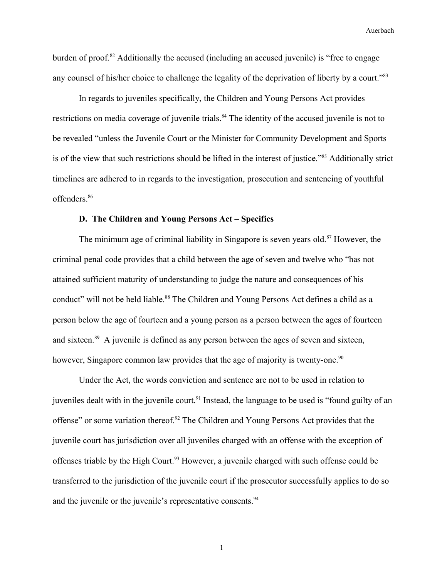burden of proof.<sup>[82](#page-31-24)</sup> Additionally the accused (including an accused juvenile) is "free to engage any counsel of his/her choice to challenge the legality of the deprivation of liberty by a court."<sup>[83](#page-31-25)</sup>

In regards to juveniles specifically, the Children and Young Persons Act provides restrictions on media coverage of juvenile trials.<sup>[84](#page-31-26)</sup> The identity of the accused juvenile is not to be revealed "unless the Juvenile Court or the Minister for Community Development and Sports is of the view that such restrictions should be lifted in the interest of justice."[85](#page-31-27) Additionally strict timelines are adhered to in regards to the investigation, prosecution and sentencing of youthful offenders.[86](#page-31-28)

## **D. The Children and Young Persons Act – Specifics**

The minimum age of criminal liability in Singapore is seven years old.<sup>[87](#page-31-29)</sup> However, the criminal penal code provides that a child between the age of seven and twelve who "has not attained sufficient maturity of understanding to judge the nature and consequences of his conduct" will not be held liable.<sup>[88](#page-31-30)</sup> The Children and Young Persons Act defines a child as a person below the age of fourteen and a young person as a person between the ages of fourteen and sixteen.<sup>[89](#page-31-31)</sup> A juvenile is defined as any person between the ages of seven and sixteen, however, Singapore common law provides that the age of majority is twenty-one.<sup>[90](#page-31-32)</sup>

Under the Act, the words conviction and sentence are not to be used in relation to juveniles dealt with in the juvenile court.<sup>[91](#page-31-33)</sup> Instead, the language to be used is "found guilty of an offense" or some variation thereof.[92](#page-31-34) The Children and Young Persons Act provides that the juvenile court has jurisdiction over all juveniles charged with an offense with the exception of offenses triable by the High Court.<sup>[93](#page-31-35)</sup> However, a juvenile charged with such offense could be transferred to the jurisdiction of the juvenile court if the prosecutor successfully applies to do so and the juvenile or the juvenile's representative consents.<sup>[94](#page-31-36)</sup>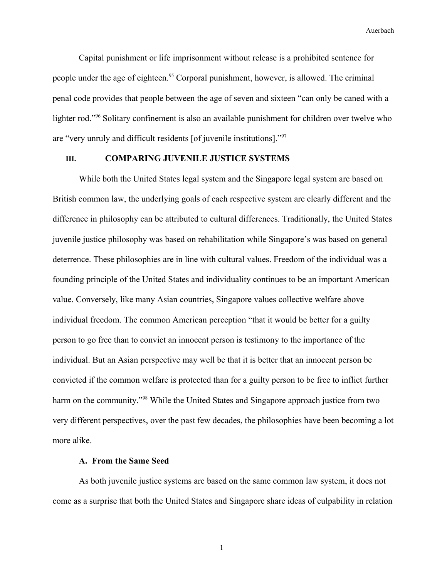Capital punishment or life imprisonment without release is a prohibited sentence for people under the age of eighteen.<sup>[95](#page-32-0)</sup> Corporal punishment, however, is allowed. The criminal penal code provides that people between the age of seven and sixteen "can only be caned with a lighter rod."<sup>[96](#page-32-1)</sup> Solitary confinement is also an available punishment for children over twelve who are "very unruly and difficult residents [of juvenile institutions]."[97](#page-32-2)

## **III. COMPARING JUVENILE JUSTICE SYSTEMS**

While both the United States legal system and the Singapore legal system are based on British common law, the underlying goals of each respective system are clearly different and the difference in philosophy can be attributed to cultural differences. Traditionally, the United States juvenile justice philosophy was based on rehabilitation while Singapore's was based on general deterrence. These philosophies are in line with cultural values. Freedom of the individual was a founding principle of the United States and individuality continues to be an important American value. Conversely, like many Asian countries, Singapore values collective welfare above individual freedom. The common American perception "that it would be better for a guilty person to go free than to convict an innocent person is testimony to the importance of the individual. But an Asian perspective may well be that it is better that an innocent person be convicted if the common welfare is protected than for a guilty person to be free to inflict further harm on the community."<sup>[98](#page-32-3)</sup> While the United States and Singapore approach justice from two very different perspectives, over the past few decades, the philosophies have been becoming a lot more alike.

#### **A. From the Same Seed**

As both juvenile justice systems are based on the same common law system, it does not come as a surprise that both the United States and Singapore share ideas of culpability in relation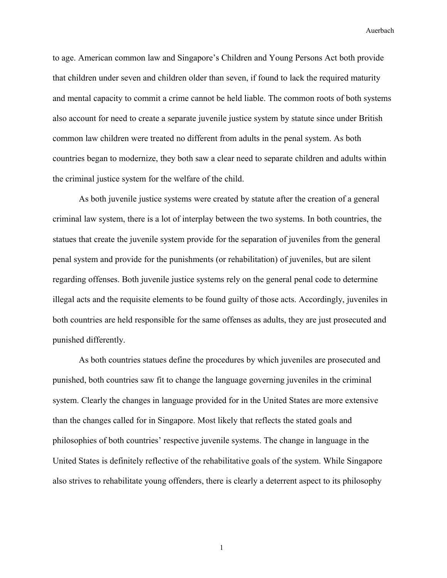to age. American common law and Singapore's Children and Young Persons Act both provide that children under seven and children older than seven, if found to lack the required maturity and mental capacity to commit a crime cannot be held liable. The common roots of both systems also account for need to create a separate juvenile justice system by statute since under British common law children were treated no different from adults in the penal system. As both countries began to modernize, they both saw a clear need to separate children and adults within the criminal justice system for the welfare of the child.

As both juvenile justice systems were created by statute after the creation of a general criminal law system, there is a lot of interplay between the two systems. In both countries, the statues that create the juvenile system provide for the separation of juveniles from the general penal system and provide for the punishments (or rehabilitation) of juveniles, but are silent regarding offenses. Both juvenile justice systems rely on the general penal code to determine illegal acts and the requisite elements to be found guilty of those acts. Accordingly, juveniles in both countries are held responsible for the same offenses as adults, they are just prosecuted and punished differently.

As both countries statues define the procedures by which juveniles are prosecuted and punished, both countries saw fit to change the language governing juveniles in the criminal system. Clearly the changes in language provided for in the United States are more extensive than the changes called for in Singapore. Most likely that reflects the stated goals and philosophies of both countries' respective juvenile systems. The change in language in the United States is definitely reflective of the rehabilitative goals of the system. While Singapore also strives to rehabilitate young offenders, there is clearly a deterrent aspect to its philosophy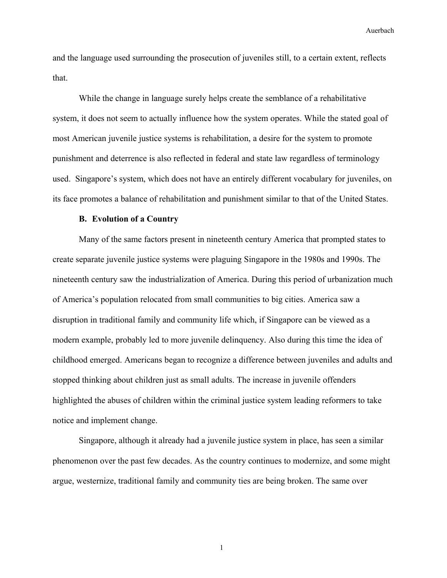and the language used surrounding the prosecution of juveniles still, to a certain extent, reflects that.

While the change in language surely helps create the semblance of a rehabilitative system, it does not seem to actually influence how the system operates. While the stated goal of most American juvenile justice systems is rehabilitation, a desire for the system to promote punishment and deterrence is also reflected in federal and state law regardless of terminology used. Singapore's system, which does not have an entirely different vocabulary for juveniles, on its face promotes a balance of rehabilitation and punishment similar to that of the United States.

### **B. Evolution of a Country**

Many of the same factors present in nineteenth century America that prompted states to create separate juvenile justice systems were plaguing Singapore in the 1980s and 1990s. The nineteenth century saw the industrialization of America. During this period of urbanization much of America's population relocated from small communities to big cities. America saw a disruption in traditional family and community life which, if Singapore can be viewed as a modern example, probably led to more juvenile delinquency. Also during this time the idea of childhood emerged. Americans began to recognize a difference between juveniles and adults and stopped thinking about children just as small adults. The increase in juvenile offenders highlighted the abuses of children within the criminal justice system leading reformers to take notice and implement change.

Singapore, although it already had a juvenile justice system in place, has seen a similar phenomenon over the past few decades. As the country continues to modernize, and some might argue, westernize, traditional family and community ties are being broken. The same over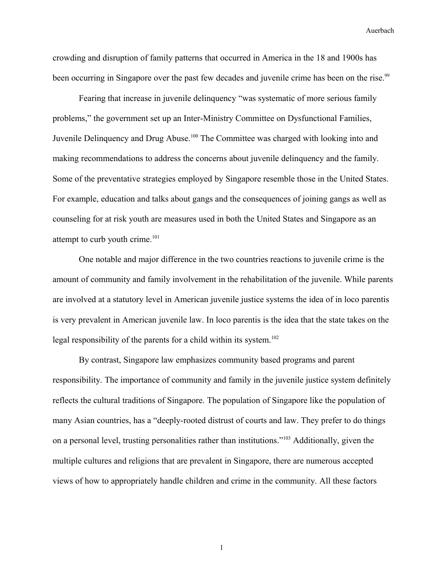crowding and disruption of family patterns that occurred in America in the 18 and 1900s has been occurring in Singapore over the past few decades and juvenile crime has been on the rise.<sup>[99](#page-32-4)</sup>

Fearing that increase in juvenile delinquency "was systematic of more serious family problems," the government set up an Inter-Ministry Committee on Dysfunctional Families, Juvenile Delinquency and Drug Abuse.<sup>[100](#page-32-5)</sup> The Committee was charged with looking into and making recommendations to address the concerns about juvenile delinquency and the family. Some of the preventative strategies employed by Singapore resemble those in the United States. For example, education and talks about gangs and the consequences of joining gangs as well as counseling for at risk youth are measures used in both the United States and Singapore as an attempt to curb youth crime.<sup>[101](#page-32-6)</sup>

One notable and major difference in the two countries reactions to juvenile crime is the amount of community and family involvement in the rehabilitation of the juvenile. While parents are involved at a statutory level in American juvenile justice systems the idea of in loco parentis is very prevalent in American juvenile law. In loco parentis is the idea that the state takes on the legal responsibility of the parents for a child within its system.<sup>[102](#page-32-7)</sup>

By contrast, Singapore law emphasizes community based programs and parent responsibility. The importance of community and family in the juvenile justice system definitely reflects the cultural traditions of Singapore. The population of Singapore like the population of many Asian countries, has a "deeply-rooted distrust of courts and law. They prefer to do things on a personal level, trusting personalities rather than institutions."[103](#page-32-8) Additionally, given the multiple cultures and religions that are prevalent in Singapore, there are numerous accepted views of how to appropriately handle children and crime in the community. All these factors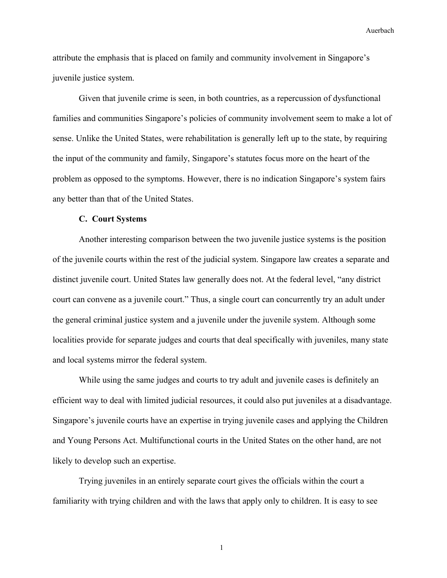attribute the emphasis that is placed on family and community involvement in Singapore's juvenile justice system.

Given that juvenile crime is seen, in both countries, as a repercussion of dysfunctional families and communities Singapore's policies of community involvement seem to make a lot of sense. Unlike the United States, were rehabilitation is generally left up to the state, by requiring the input of the community and family, Singapore's statutes focus more on the heart of the problem as opposed to the symptoms. However, there is no indication Singapore's system fairs any better than that of the United States.

### **C. Court Systems**

Another interesting comparison between the two juvenile justice systems is the position of the juvenile courts within the rest of the judicial system. Singapore law creates a separate and distinct juvenile court. United States law generally does not. At the federal level, "any district court can convene as a juvenile court." Thus, a single court can concurrently try an adult under the general criminal justice system and a juvenile under the juvenile system. Although some localities provide for separate judges and courts that deal specifically with juveniles, many state and local systems mirror the federal system.

While using the same judges and courts to try adult and juvenile cases is definitely an efficient way to deal with limited judicial resources, it could also put juveniles at a disadvantage. Singapore's juvenile courts have an expertise in trying juvenile cases and applying the Children and Young Persons Act. Multifunctional courts in the United States on the other hand, are not likely to develop such an expertise.

Trying juveniles in an entirely separate court gives the officials within the court a familiarity with trying children and with the laws that apply only to children. It is easy to see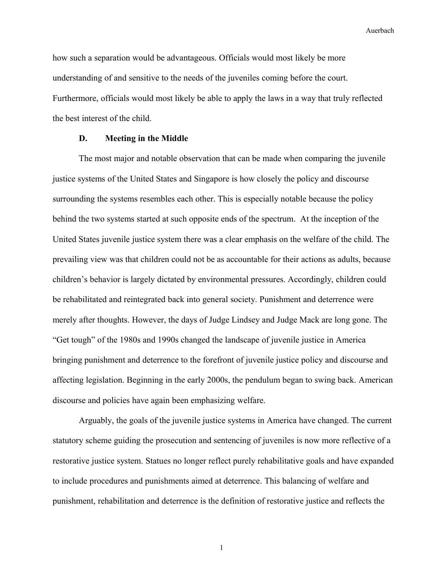how such a separation would be advantageous. Officials would most likely be more understanding of and sensitive to the needs of the juveniles coming before the court. Furthermore, officials would most likely be able to apply the laws in a way that truly reflected the best interest of the child.

### **D. Meeting in the Middle**

The most major and notable observation that can be made when comparing the juvenile justice systems of the United States and Singapore is how closely the policy and discourse surrounding the systems resembles each other. This is especially notable because the policy behind the two systems started at such opposite ends of the spectrum. At the inception of the United States juvenile justice system there was a clear emphasis on the welfare of the child. The prevailing view was that children could not be as accountable for their actions as adults, because children's behavior is largely dictated by environmental pressures. Accordingly, children could be rehabilitated and reintegrated back into general society. Punishment and deterrence were merely after thoughts. However, the days of Judge Lindsey and Judge Mack are long gone. The "Get tough" of the 1980s and 1990s changed the landscape of juvenile justice in America bringing punishment and deterrence to the forefront of juvenile justice policy and discourse and affecting legislation. Beginning in the early 2000s, the pendulum began to swing back. American discourse and policies have again been emphasizing welfare.

Arguably, the goals of the juvenile justice systems in America have changed. The current statutory scheme guiding the prosecution and sentencing of juveniles is now more reflective of a restorative justice system. Statues no longer reflect purely rehabilitative goals and have expanded to include procedures and punishments aimed at deterrence. This balancing of welfare and punishment, rehabilitation and deterrence is the definition of restorative justice and reflects the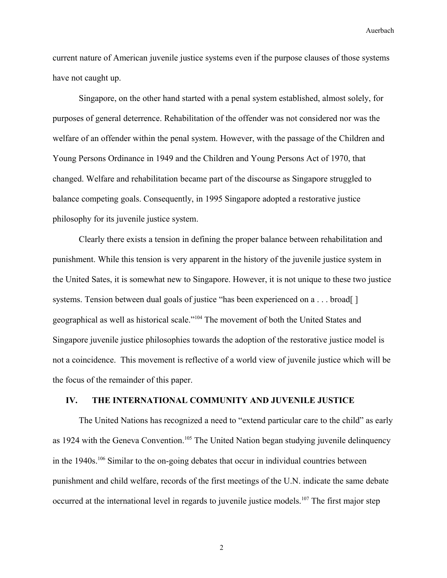current nature of American juvenile justice systems even if the purpose clauses of those systems have not caught up.

Singapore, on the other hand started with a penal system established, almost solely, for purposes of general deterrence. Rehabilitation of the offender was not considered nor was the welfare of an offender within the penal system. However, with the passage of the Children and Young Persons Ordinance in 1949 and the Children and Young Persons Act of 1970, that changed. Welfare and rehabilitation became part of the discourse as Singapore struggled to balance competing goals. Consequently, in 1995 Singapore adopted a restorative justice philosophy for its juvenile justice system.

Clearly there exists a tension in defining the proper balance between rehabilitation and punishment. While this tension is very apparent in the history of the juvenile justice system in the United Sates, it is somewhat new to Singapore. However, it is not unique to these two justice systems. Tension between dual goals of justice "has been experienced on a . . . broad[] geographical as well as historical scale."[104](#page-32-9) The movement of both the United States and Singapore juvenile justice philosophies towards the adoption of the restorative justice model is not a coincidence. This movement is reflective of a world view of juvenile justice which will be the focus of the remainder of this paper.

## **IV. THE INTERNATIONAL COMMUNITY AND JUVENILE JUSTICE**

The United Nations has recognized a need to "extend particular care to the child" as early as 1924 with the Geneva Convention.<sup>[105](#page-32-10)</sup> The United Nation began studying juvenile delinquency in the  $1940s$ .<sup>[106](#page-32-11)</sup> Similar to the on-going debates that occur in individual countries between punishment and child welfare, records of the first meetings of the U.N. indicate the same debate occurred at the international level in regards to juvenile justice models.<sup>[107](#page-32-12)</sup> The first major step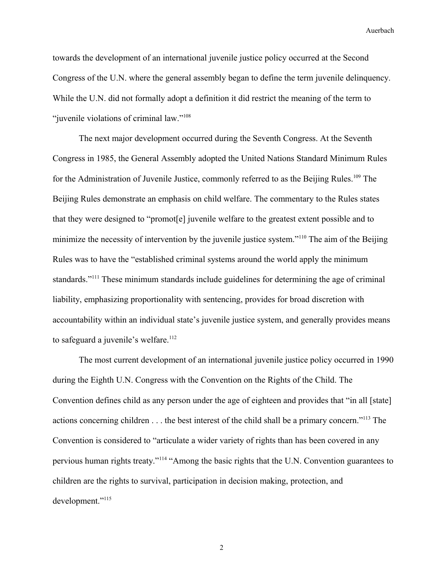towards the development of an international juvenile justice policy occurred at the Second Congress of the U.N. where the general assembly began to define the term juvenile delinquency. While the U.N. did not formally adopt a definition it did restrict the meaning of the term to "juvenile violations of criminal law."<sup>[108](#page-32-13)</sup>

The next major development occurred during the Seventh Congress. At the Seventh Congress in 1985, the General Assembly adopted the United Nations Standard Minimum Rules for the Administration of Juvenile Justice, commonly referred to as the Beijing Rules.<sup>[109](#page-32-14)</sup> The Beijing Rules demonstrate an emphasis on child welfare. The commentary to the Rules states that they were designed to "promot[e] juvenile welfare to the greatest extent possible and to minimize the necessity of intervention by the juvenile justice system."<sup>[110](#page-32-15)</sup> The aim of the Beijing Rules was to have the "established criminal systems around the world apply the minimum standards."<sup>[111](#page-32-16)</sup> These minimum standards include guidelines for determining the age of criminal liability, emphasizing proportionality with sentencing, provides for broad discretion with accountability within an individual state's juvenile justice system, and generally provides means to safeguard a juvenile's welfare.<sup>[112](#page-32-17)</sup>

The most current development of an international juvenile justice policy occurred in 1990 during the Eighth U.N. Congress with the Convention on the Rights of the Child. The Convention defines child as any person under the age of eighteen and provides that "in all [state] actions concerning children . . . the best interest of the child shall be a primary concern."[113](#page-32-18) The Convention is considered to "articulate a wider variety of rights than has been covered in any pervious human rights treaty."[114](#page-32-19) "Among the basic rights that the U.N. Convention guarantees to children are the rights to survival, participation in decision making, protection, and development."<sup>[115](#page-32-20)</sup>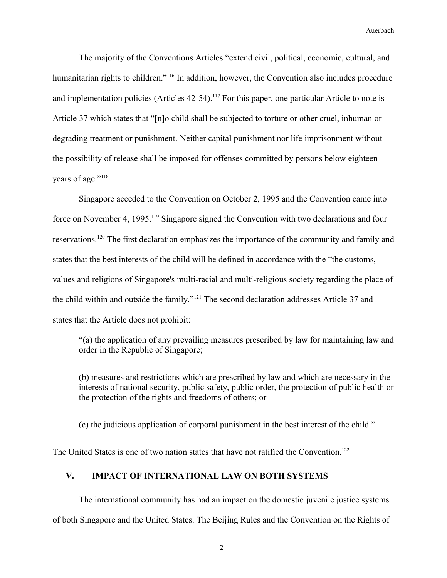The majority of the Conventions Articles "extend civil, political, economic, cultural, and humanitarian rights to children."<sup>[116](#page-32-21)</sup> In addition, however, the Convention also includes procedure and implementation policies (Articles 42-54).<sup>[117](#page-32-22)</sup> For this paper, one particular Article to note is Article 37 which states that "[n]o child shall be subjected to torture or other cruel, inhuman or degrading treatment or punishment. Neither capital punishment nor life imprisonment without the possibility of release shall be imposed for offenses committed by persons below eighteen years of age."<sup>[118](#page-32-23)</sup>

Singapore acceded to the Convention on October 2, 1995 and the Convention came into force on November 4, 1995.<sup>[119](#page-32-24)</sup> Singapore signed the Convention with two declarations and four reservations.[120](#page-32-25) The first declaration emphasizes the importance of the community and family and states that the best interests of the child will be defined in accordance with the "the customs, values and religions of Singapore's multi-racial and multi-religious society regarding the place of the child within and outside the family."[121](#page-32-26) The second declaration addresses Article 37 and states that the Article does not prohibit:

"(a) the application of any prevailing measures prescribed by law for maintaining law and order in the Republic of Singapore;

(b) measures and restrictions which are prescribed by law and which are necessary in the interests of national security, public safety, public order, the protection of public health or the protection of the rights and freedoms of others; or

(c) the judicious application of corporal punishment in the best interest of the child."

The United States is one of two nation states that have not ratified the Convention.<sup>[122](#page-32-27)</sup>

## **V. IMPACT OF INTERNATIONAL LAW ON BOTH SYSTEMS**

The international community has had an impact on the domestic juvenile justice systems of both Singapore and the United States. The Beijing Rules and the Convention on the Rights of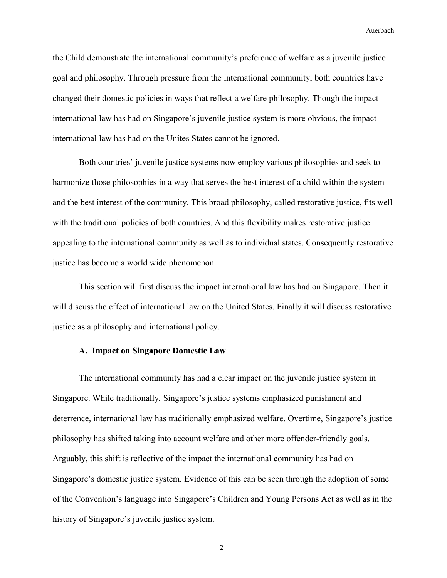the Child demonstrate the international community's preference of welfare as a juvenile justice goal and philosophy. Through pressure from the international community, both countries have changed their domestic policies in ways that reflect a welfare philosophy. Though the impact international law has had on Singapore's juvenile justice system is more obvious, the impact international law has had on the Unites States cannot be ignored.

Both countries' juvenile justice systems now employ various philosophies and seek to harmonize those philosophies in a way that serves the best interest of a child within the system and the best interest of the community. This broad philosophy, called restorative justice, fits well with the traditional policies of both countries. And this flexibility makes restorative justice appealing to the international community as well as to individual states. Consequently restorative justice has become a world wide phenomenon.

This section will first discuss the impact international law has had on Singapore. Then it will discuss the effect of international law on the United States. Finally it will discuss restorative justice as a philosophy and international policy.

### **A. Impact on Singapore Domestic Law**

The international community has had a clear impact on the juvenile justice system in Singapore. While traditionally, Singapore's justice systems emphasized punishment and deterrence, international law has traditionally emphasized welfare. Overtime, Singapore's justice philosophy has shifted taking into account welfare and other more offender-friendly goals. Arguably, this shift is reflective of the impact the international community has had on Singapore's domestic justice system. Evidence of this can be seen through the adoption of some of the Convention's language into Singapore's Children and Young Persons Act as well as in the history of Singapore's juvenile justice system.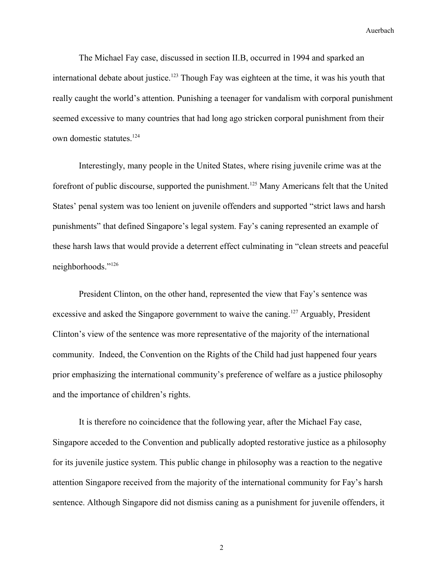The Michael Fay case, discussed in section II.B, occurred in 1994 and sparked an international debate about justice.<sup>[123](#page-32-28)</sup> Though Fay was eighteen at the time, it was his youth that really caught the world's attention. Punishing a teenager for vandalism with corporal punishment seemed excessive to many countries that had long ago stricken corporal punishment from their own domestic statutes.<sup>[124](#page-32-29)</sup>

Interestingly, many people in the United States, where rising juvenile crime was at the forefront of public discourse, supported the punishment.<sup>[125](#page-32-30)</sup> Many Americans felt that the United States' penal system was too lenient on juvenile offenders and supported "strict laws and harsh punishments" that defined Singapore's legal system. Fay's caning represented an example of these harsh laws that would provide a deterrent effect culminating in "clean streets and peaceful neighborhoods."[126](#page-32-31)

President Clinton, on the other hand, represented the view that Fay's sentence was excessive and asked the Singapore government to waive the caning.<sup>[127](#page-32-32)</sup> Arguably, President Clinton's view of the sentence was more representative of the majority of the international community. Indeed, the Convention on the Rights of the Child had just happened four years prior emphasizing the international community's preference of welfare as a justice philosophy and the importance of children's rights.

It is therefore no coincidence that the following year, after the Michael Fay case, Singapore acceded to the Convention and publically adopted restorative justice as a philosophy for its juvenile justice system. This public change in philosophy was a reaction to the negative attention Singapore received from the majority of the international community for Fay's harsh sentence. Although Singapore did not dismiss caning as a punishment for juvenile offenders, it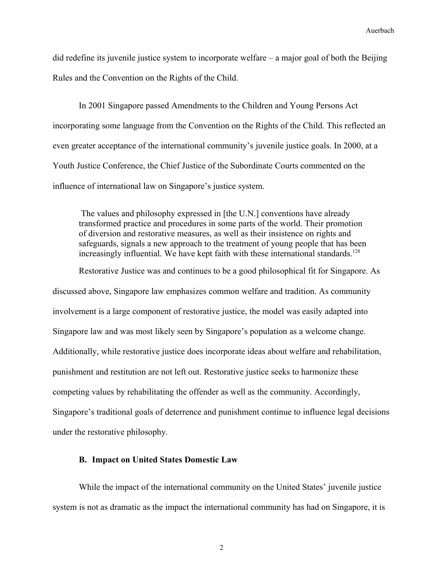did redefine its juvenile justice system to incorporate welfare – a major goal of both the Beijing Rules and the Convention on the Rights of the Child.

In 2001 Singapore passed Amendments to the Children and Young Persons Act incorporating some language from the Convention on the Rights of the Child. This reflected an even greater acceptance of the international community's juvenile justice goals. In 2000, at a Youth Justice Conference, the Chief Justice of the Subordinate Courts commented on the influence of international law on Singapore's justice system.

 The values and philosophy expressed in [the U.N.] conventions have already transformed practice and procedures in some parts of the world. Their promotion of diversion and restorative measures, as well as their insistence on rights and safeguards, signals a new approach to the treatment of young people that has been increasingly influential. We have kept faith with these international standards.<sup>[128](#page-32-33)</sup>

Restorative Justice was and continues to be a good philosophical fit for Singapore. As discussed above, Singapore law emphasizes common welfare and tradition. As community involvement is a large component of restorative justice, the model was easily adapted into Singapore law and was most likely seen by Singapore's population as a welcome change. Additionally, while restorative justice does incorporate ideas about welfare and rehabilitation, punishment and restitution are not left out. Restorative justice seeks to harmonize these competing values by rehabilitating the offender as well as the community. Accordingly, Singapore's traditional goals of deterrence and punishment continue to influence legal decisions under the restorative philosophy.

## **B. Impact on United States Domestic Law**

While the impact of the international community on the United States' juvenile justice system is not as dramatic as the impact the international community has had on Singapore, it is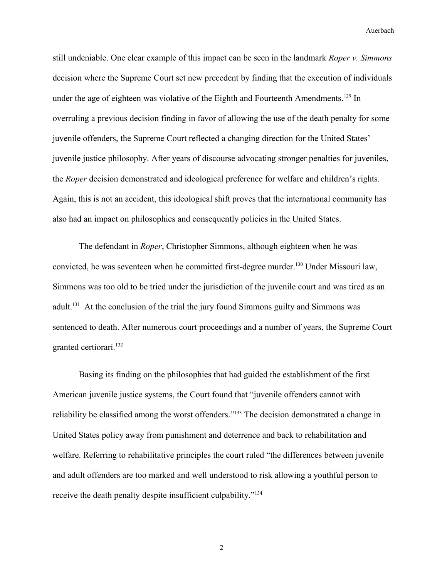still undeniable. One clear example of this impact can be seen in the landmark *Roper v. Simmons* decision where the Supreme Court set new precedent by finding that the execution of individuals under the age of eighteen was violative of the Eighth and Fourteenth Amendments.<sup>[129](#page-32-34)</sup> In overruling a previous decision finding in favor of allowing the use of the death penalty for some juvenile offenders, the Supreme Court reflected a changing direction for the United States' juvenile justice philosophy. After years of discourse advocating stronger penalties for juveniles, the *Roper* decision demonstrated and ideological preference for welfare and children's rights. Again, this is not an accident, this ideological shift proves that the international community has also had an impact on philosophies and consequently policies in the United States.

The defendant in *Roper*, Christopher Simmons, although eighteen when he was convicted, he was seventeen when he committed first-degree murder.[130](#page-32-35) Under Missouri law, Simmons was too old to be tried under the jurisdiction of the juvenile court and was tired as an adult.<sup>[131](#page-33-0)</sup> At the conclusion of the trial the jury found Simmons guilty and Simmons was sentenced to death. After numerous court proceedings and a number of years, the Supreme Court granted certiorari.<sup>[132](#page-33-1)</sup>

Basing its finding on the philosophies that had guided the establishment of the first American juvenile justice systems, the Court found that "juvenile offenders cannot with reliability be classified among the worst offenders."[133](#page-33-2) The decision demonstrated a change in United States policy away from punishment and deterrence and back to rehabilitation and welfare. Referring to rehabilitative principles the court ruled "the differences between juvenile and adult offenders are too marked and well understood to risk allowing a youthful person to receive the death penalty despite insufficient culpability."[134](#page-33-3)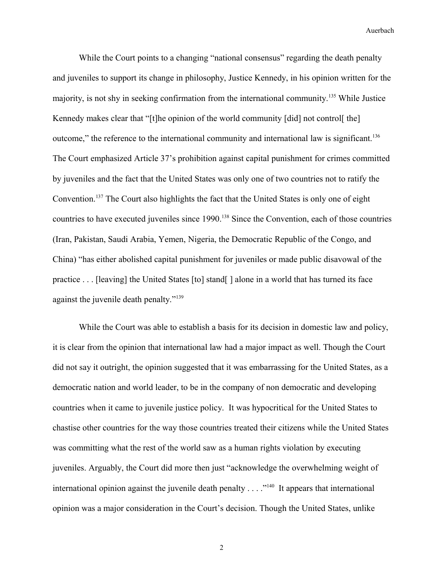While the Court points to a changing "national consensus" regarding the death penalty and juveniles to support its change in philosophy, Justice Kennedy, in his opinion written for the majority, is not shy in seeking confirmation from the international community.[135](#page-33-4) While Justice Kennedy makes clear that "[t]he opinion of the world community [did] not control[ the] outcome," the reference to the international community and international law is significant.<sup>[136](#page-33-5)</sup> The Court emphasized Article 37's prohibition against capital punishment for crimes committed by juveniles and the fact that the United States was only one of two countries not to ratify the Convention.[137](#page-33-6) The Court also highlights the fact that the United States is only one of eight countries to have executed juveniles since 1990.<sup>[138](#page-33-7)</sup> Since the Convention, each of those countries (Iran, Pakistan, Saudi Arabia, Yemen, Nigeria, the Democratic Republic of the Congo, and China) "has either abolished capital punishment for juveniles or made public disavowal of the practice . . . [leaving] the United States [to] stand[ ] alone in a world that has turned its face against the juvenile death penalty."<sup>[139](#page-33-8)</sup>

While the Court was able to establish a basis for its decision in domestic law and policy, it is clear from the opinion that international law had a major impact as well. Though the Court did not say it outright, the opinion suggested that it was embarrassing for the United States, as a democratic nation and world leader, to be in the company of non democratic and developing countries when it came to juvenile justice policy. It was hypocritical for the United States to chastise other countries for the way those countries treated their citizens while the United States was committing what the rest of the world saw as a human rights violation by executing juveniles. Arguably, the Court did more then just "acknowledge the overwhelming weight of international opinion against the juvenile death penalty . . . .<sup>"[140](#page-33-9)</sup> It appears that international opinion was a major consideration in the Court's decision. Though the United States, unlike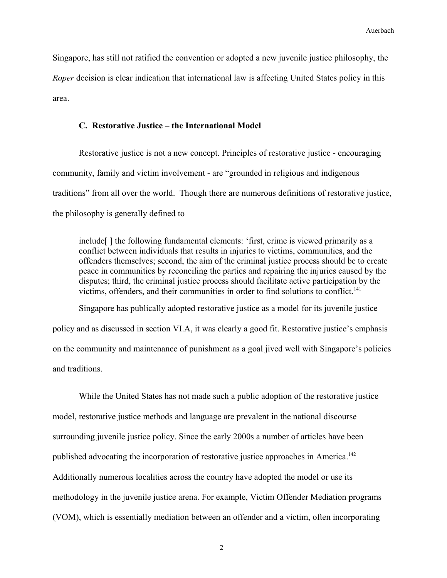Singapore, has still not ratified the convention or adopted a new juvenile justice philosophy, the *Roper* decision is clear indication that international law is affecting United States policy in this area.

## **C. Restorative Justice – the International Model**

Restorative justice is not a new concept. Principles of restorative justice - encouraging community, family and victim involvement - are "grounded in religious and indigenous traditions" from all over the world. Though there are numerous definitions of restorative justice, the philosophy is generally defined to

include[ ] the following fundamental elements: 'first, crime is viewed primarily as a conflict between individuals that results in injuries to victims, communities, and the offenders themselves; second, the aim of the criminal justice process should be to create peace in communities by reconciling the parties and repairing the injuries caused by the disputes; third, the criminal justice process should facilitate active participation by the victims, offenders, and their communities in order to find solutions to conflict.<sup>[141](#page-33-10)</sup>

Singapore has publically adopted restorative justice as a model for its juvenile justice policy and as discussed in section VI.A, it was clearly a good fit. Restorative justice's emphasis on the community and maintenance of punishment as a goal jived well with Singapore's policies and traditions.

While the United States has not made such a public adoption of the restorative justice model, restorative justice methods and language are prevalent in the national discourse surrounding juvenile justice policy. Since the early 2000s a number of articles have been published advocating the incorporation of restorative justice approaches in America.<sup>[142](#page-33-11)</sup> Additionally numerous localities across the country have adopted the model or use its methodology in the juvenile justice arena. For example, Victim Offender Mediation programs (VOM), which is essentially mediation between an offender and a victim, often incorporating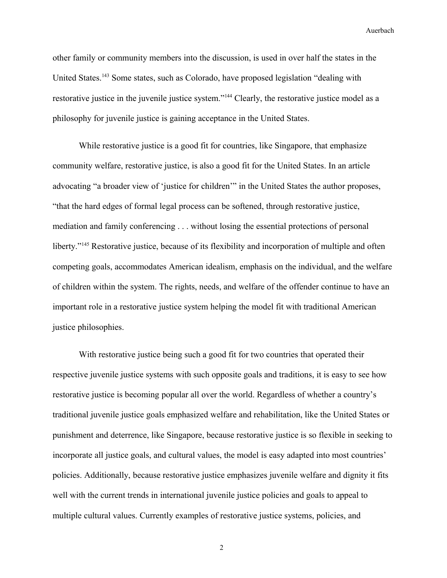other family or community members into the discussion, is used in over half the states in the United States.[143](#page-33-12) Some states, such as Colorado, have proposed legislation "dealing with restorative justice in the juvenile justice system."[144](#page-33-13) Clearly, the restorative justice model as a philosophy for juvenile justice is gaining acceptance in the United States.

While restorative justice is a good fit for countries, like Singapore, that emphasize community welfare, restorative justice, is also a good fit for the United States. In an article advocating "a broader view of 'justice for children'" in the United States the author proposes, "that the hard edges of formal legal process can be softened, through restorative justice, mediation and family conferencing . . . without losing the essential protections of personal liberty."<sup>[145](#page-33-14)</sup> Restorative justice, because of its flexibility and incorporation of multiple and often competing goals, accommodates American idealism, emphasis on the individual, and the welfare of children within the system. The rights, needs, and welfare of the offender continue to have an important role in a restorative justice system helping the model fit with traditional American justice philosophies.

With restorative justice being such a good fit for two countries that operated their respective juvenile justice systems with such opposite goals and traditions, it is easy to see how restorative justice is becoming popular all over the world. Regardless of whether a country's traditional juvenile justice goals emphasized welfare and rehabilitation, like the United States or punishment and deterrence, like Singapore, because restorative justice is so flexible in seeking to incorporate all justice goals, and cultural values, the model is easy adapted into most countries' policies. Additionally, because restorative justice emphasizes juvenile welfare and dignity it fits well with the current trends in international juvenile justice policies and goals to appeal to multiple cultural values. Currently examples of restorative justice systems, policies, and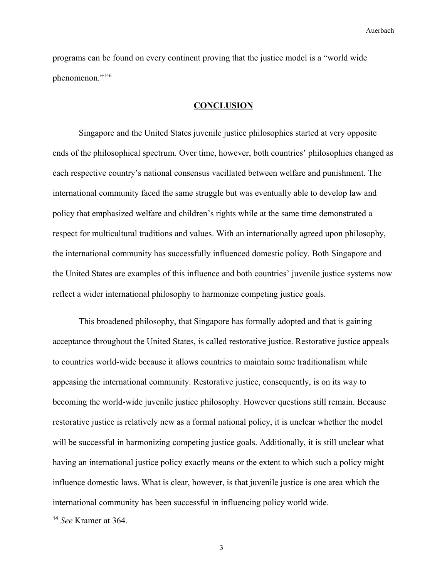programs can be found on every continent proving that the justice model is a "world wide phenomenon."[146](#page-33-15)

## **CONCLUSION**

Singapore and the United States juvenile justice philosophies started at very opposite ends of the philosophical spectrum. Over time, however, both countries' philosophies changed as each respective country's national consensus vacillated between welfare and punishment. The international community faced the same struggle but was eventually able to develop law and policy that emphasized welfare and children's rights while at the same time demonstrated a respect for multicultural traditions and values. With an internationally agreed upon philosophy, the international community has successfully influenced domestic policy. Both Singapore and the United States are examples of this influence and both countries' juvenile justice systems now reflect a wider international philosophy to harmonize competing justice goals.

This broadened philosophy, that Singapore has formally adopted and that is gaining acceptance throughout the United States, is called restorative justice. Restorative justice appeals to countries world-wide because it allows countries to maintain some traditionalism while appeasing the international community. Restorative justice, consequently, is on its way to becoming the world-wide juvenile justice philosophy. However questions still remain. Because restorative justice is relatively new as a formal national policy, it is unclear whether the model will be successful in harmonizing competing justice goals. Additionally, it is still unclear what having an international justice policy exactly means or the extent to which such a policy might influence domestic laws. What is clear, however, is that juvenile justice is one area which the international community has been successful in influencing policy world wide.

<span id="page-29-0"></span><sup>14</sup> *See* Kramer at 364.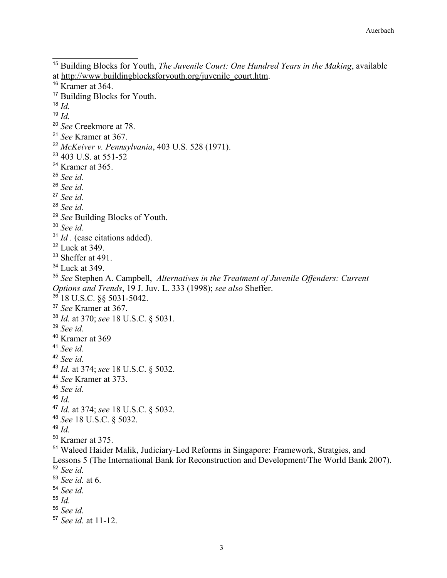<span id="page-30-42"></span><span id="page-30-41"></span><span id="page-30-40"></span><span id="page-30-39"></span><span id="page-30-38"></span><span id="page-30-37"></span><span id="page-30-36"></span><span id="page-30-35"></span><span id="page-30-34"></span><span id="page-30-33"></span><span id="page-30-32"></span><span id="page-30-31"></span><span id="page-30-30"></span><span id="page-30-29"></span><span id="page-30-28"></span><span id="page-30-27"></span><span id="page-30-26"></span><span id="page-30-25"></span><span id="page-30-24"></span><span id="page-30-23"></span><span id="page-30-22"></span><span id="page-30-21"></span><span id="page-30-20"></span><span id="page-30-19"></span><span id="page-30-18"></span><span id="page-30-17"></span><span id="page-30-16"></span><span id="page-30-15"></span><span id="page-30-14"></span><span id="page-30-13"></span><span id="page-30-12"></span><span id="page-30-11"></span><span id="page-30-10"></span><span id="page-30-9"></span><span id="page-30-8"></span><span id="page-30-7"></span><span id="page-30-6"></span><span id="page-30-5"></span><span id="page-30-4"></span><span id="page-30-3"></span><span id="page-30-2"></span><span id="page-30-1"></span><span id="page-30-0"></span> Building Blocks for Youth, *The Juvenile Court: One Hundred Years in the Making*, available at http://www.buildingblocksforyouth.org/juvenile\_court.htm. Kramer at 364. <sup>17</sup> Building Blocks for Youth. *Id. Id. See* Creekmore at 78. *See* Kramer at 367. *McKeiver v. Pennsylvania*, 403 U.S. 528 (1971). 403 U.S. at 551-52 Kramer at 365. *See id. See id. See id. See id. See* Building Blocks of Youth. *See id.* <sup>31</sup> *Id* . (case citations added). Luck at 349. <sup>33</sup> Sheffer at 491. <sup>34</sup> Luck at 349. *See* Stephen A. Campbell, *Alternatives in the Treatment of Juvenile Offenders: Current Options and Trends*, 19 J. Juv. L. 333 (1998); *see also* Sheffer. 18 U.S.C.  $88$  5031-5042. *See* Kramer at 367. *Id.* at 370; *see* 18 U.S.C. § 5031. *See id.* Kramer at 369 *See id. See id. Id.* at 374; *see* 18 U.S.C. § 5032. *See* Kramer at 373. *See id.*   $^{46}$  *Id. Id.* at 374; *see* 18 U.S.C. § 5032. *See* 18 U.S.C. § 5032. *Id.* Kramer at 375. Waleed Haider Malik, Judiciary-Led Reforms in Singapore: Framework, Stratgies, and Lessons 5 (The International Bank for Reconstruction and Development/The World Bank 2007). *See id. See id.* at 6. *See id. Id. See id. See id.* at 11-12.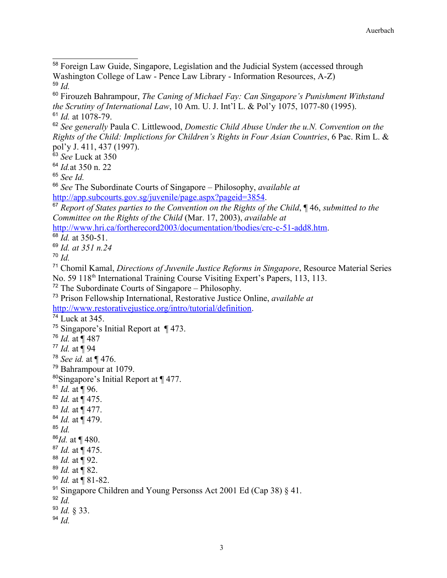<span id="page-31-5"></span>*See* Luck at 350

<span id="page-31-6"></span>*Id.*at 350 n. 22

<span id="page-31-7"></span>*See Id.*

<span id="page-31-8"></span> *See* The Subordinate Courts of Singapore – Philosophy, *available at* [http://app.subcourts.gov.sg/juvenile/page.aspx?pageid=3854.](http://app.subcourts.gov.sg/juvenile/page.aspx?pageid=3854)

```
<sup>67</sup> Report of States parties to the Convention on the Rights of the Child, ¶ 46, submitted to the
Committee on the Rights of the Child (Mar. 17, 2003), available at
```
[http://www.hri.ca/fortherecord2003/documentation/tbodies/crc-c-51-add8.htm.](http://www.hri.ca/fortherecord2003/documentation/tbodies/crc-c-51-add8.htm)

<span id="page-31-10"></span>*Id.* at 350-51.

<span id="page-31-11"></span>*Id. at 351 n.24*

<span id="page-31-12"></span>*Id.*

<span id="page-31-13"></span> Chomil Kamal, *Directions of Juvenile Justice Reforms in Singapore*, Resource Material Series No. 59 118<sup>th</sup> International Training Course Visiting Expert's Papers, 113, 113.

<span id="page-31-14"></span>The Subordinate Courts of Singapore – Philosophy.

```
73 Prison Fellowship International, Restorative Justice Online, available at
http://www.restorativejustice.org/intro/tutorial/definition.
```
<span id="page-31-16"></span>Luck at 345.

<span id="page-31-17"></span>Singapore's Initial Report at ¶ 473.

<span id="page-31-18"></span>*Id.* at ¶ 487

<span id="page-31-19"></span>*Id.* at ¶ 94

<span id="page-31-20"></span>*See id.* at ¶ 476.

<span id="page-31-21"></span>Bahrampour at 1079.

<span id="page-31-22"></span>Singapore's Initial Report at ¶ 477.

```
81 Id. at ¶ 96.
```
<span id="page-31-24"></span>*Id.* at ¶ 475.

<span id="page-31-25"></span>*Id.* at ¶ 477.

```
84 Id. at ¶ 479.
```
<span id="page-31-27"></span>*Id.* 

<span id="page-31-28"></span>*Id.* at ¶ 480.

<span id="page-31-29"></span>*Id.* at ¶ 475.

<span id="page-31-30"></span>*Id.* at ¶ 92.

<span id="page-31-31"></span>*Id.* at ¶ 82.

<span id="page-31-32"></span>*Id.* at ¶ 81-82.

<span id="page-31-34"></span>*Id.*

<span id="page-31-35"></span>*Id.* § 33.

<span id="page-31-36"></span>*Id.*

<span id="page-31-0"></span><sup>&</sup>lt;sup>58</sup> Foreign Law Guide, Singapore, Legislation and the Judicial System (accessed through Washington College of Law - Pence Law Library - Information Resources, A-Z) *Id.*

<span id="page-31-2"></span><span id="page-31-1"></span> Firouzeh Bahrampour, *The Caning of Michael Fay: Can Singapore's Punishment Withstand the Scrutiny of International Law*, 10 Am. U. J. Int'l L. & Pol'y 1075, 1077-80 (1995). *Id.* at 1078-79.

<span id="page-31-4"></span><span id="page-31-3"></span> *See generally* Paula C. Littlewood, *Domestic Child Abuse Under the u.N. Convention on the Rights of the Child: Implictions for Children's Rights in Four Asian Countries*, 6 Pac. Rim L. & pol'y J. 411, 437 (1997).

<span id="page-31-33"></span><sup>&</sup>lt;sup>91</sup> Singapore Children and Young Personss Act 2001 Ed (Cap 38)  $\S$  41.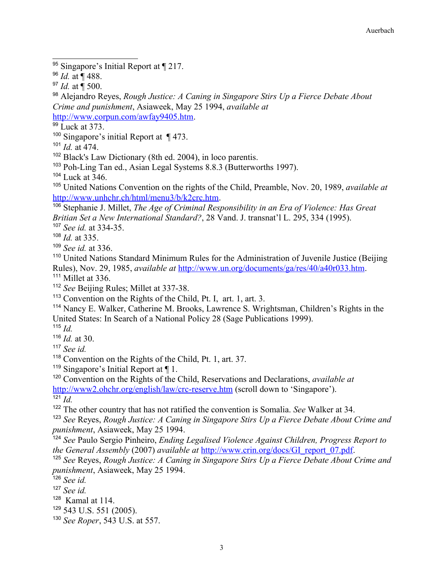<span id="page-32-0"></span> $\frac{1}{95}$  Singapore's Initial Report at  $\P$  217.

<span id="page-32-3"></span> Alejandro Reyes, *Rough Justice: A Caning in Singapore Stirs Up a Fierce Debate About Crime and punishment*, Asiaweek, May 25 1994, *available at* [http://www.corpun.com/awfay9405.htm.](http://www.corpun.com/awfay9405.htm)

<span id="page-32-4"></span><sup>99</sup> Luck at 373.

<span id="page-32-5"></span>Singapore's initial Report at ¶ 473.

<span id="page-32-6"></span>*Id.* at 474.

<span id="page-32-7"></span>Black's Law Dictionary (8th ed. 2004), in loco parentis.

<span id="page-32-8"></span>Poh-Ling Tan ed., Asian Legal Systems 8.8.3 (Butterworths 1997).

<span id="page-32-9"></span>Luck at  $346$ .

<span id="page-32-10"></span> United Nations Convention on the rights of the Child, Preamble, Nov. 20, 1989, *available at* [http://www.unhchr.ch/html/menu3/b/k2crc.htm.](http://www.unhchr.ch/html/menu3/b/k2crc.htm)

<span id="page-32-11"></span> Stephanie J. Millet, *The Age of Criminal Responsibility in an Era of Violence: Has Great Britian Set a New International Standard?*, 28 Vand. J. transnat'l L. 295, 334 (1995).

<span id="page-32-12"></span>*See id.* at 334-35.

<span id="page-32-13"></span>*Id.* at 335.

<span id="page-32-14"></span>*See id.* at 336.

<span id="page-32-15"></span><sup>110</sup> United Nations Standard Minimum Rules for the Administration of Juvenile Justice (Beijing Rules), Nov. 29, 1985, *available at* [http://www.un.org/documents/ga/res/40/a40r033.htm.](http://www.un.org/documents/ga/res/40/a40r033.htm)

<span id="page-32-16"></span><sup>111</sup> Millet at 336.

<span id="page-32-17"></span>*See* Beijing Rules; Millet at 337-38.

<span id="page-32-18"></span>Convention on the Rights of the Child, Pt. I, art. 1, art. 3.

<span id="page-32-19"></span> Nancy E. Walker, Catherine M. Brooks, Lawrence S. Wrightsman, Children's Rights in the United States: In Search of a National Policy 28 (Sage Publications 1999).

<span id="page-32-20"></span>*Id.*

<span id="page-32-21"></span>*Id.* at 30.

<span id="page-32-22"></span>*See id.*

<span id="page-32-23"></span>Convention on the Rights of the Child, Pt. 1, art. 37.

<span id="page-32-24"></span>Singapore's Initial Report at ¶ 1.

<span id="page-32-25"></span><sup>120</sup> Convention on the Rights of the Child, Reservations and Declarations, *available at* <http://www2.ohchr.org/english/law/crc-reserve.htm>(scroll down to 'Singapore'). *Id.*

<span id="page-32-27"></span><span id="page-32-26"></span>The other country that has not ratified the convention is Somalia. *See* Walker at 34.

<span id="page-32-28"></span> *See* Reyes, *Rough Justice: A Caning in Singapore Stirs Up a Fierce Debate About Crime and punishment*, Asiaweek, May 25 1994.

<span id="page-32-29"></span> *See* Paulo Sergio Pinheiro, *Ending Legalised Violence Against Children, Progress Report to the General Assembly* (2007) *available at* [http://www.crin.org/docs/GI\\_report\\_07.pdf.](http://www.crin.org/docs/GI_report_07.pdf)

<span id="page-32-30"></span> *See* Reyes, *Rough Justice: A Caning in Singapore Stirs Up a Fierce Debate About Crime and punishment*, Asiaweek, May 25 1994.

<span id="page-32-31"></span>*See id.*

<span id="page-32-32"></span>*See id.*

<span id="page-32-33"></span>Kamal at 114.

<span id="page-32-34"></span>543 U.S. 551 (2005).

<span id="page-32-35"></span>*See Roper*, 543 U.S. at 557.

<span id="page-32-1"></span>*Id.* at ¶ 488.

<span id="page-32-2"></span>*Id.* at ¶ 500.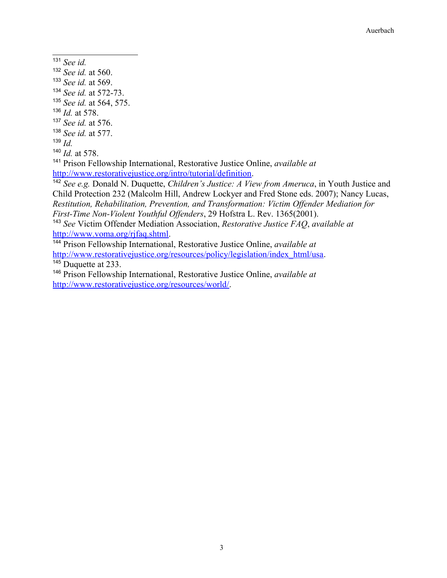- <span id="page-33-0"></span>*See id.*
- <span id="page-33-1"></span>*See id.* at 560.
- <span id="page-33-2"></span>*See id.* at 569.
- <span id="page-33-3"></span>*See id.* at 572-73.
- <span id="page-33-4"></span>*See id.* at 564, 575.
- <span id="page-33-5"></span>*Id.* at 578.
- <span id="page-33-6"></span>*See id.* at 576.
- <span id="page-33-7"></span>*See id.* at 577.
- <span id="page-33-8"></span>*Id.*

<span id="page-33-9"></span>*Id.* at 578.

<span id="page-33-10"></span> Prison Fellowship International, Restorative Justice Online, *available at* [http://www.restorativejustice.org/intro/tutorial/definition.](http://www.restorativejustice.org/intro/tutorial/definition)

<span id="page-33-11"></span> *See e.g.* Donald N. Duquette, *Children's Justice: A View from Ameruca*, in Youth Justice and Child Protection 232 (Malcolm Hill, Andrew Lockyer and Fred Stone eds. 2007); Nancy Lucas, *Restitution, Rehabilitation, Prevention, and Transformation: Victim Offender Mediation for First-Time Non-Violent Youthful Offenders*, 29 Hofstra L. Rev. 1365(2001).

<span id="page-33-12"></span> *See* Victim Offender Mediation Association, *Restorative Justice FAQ*, *available at* [http://www.voma.org/rjfaq.shtml.](http://www.voma.org/rjfaq.shtml)

<span id="page-33-13"></span> Prison Fellowship International, Restorative Justice Online, *available at* [http://www.restorativejustice.org/resources/policy/legislation/index\\_html/usa.](http://www.restorativejustice.org/resources/policy/legislation/index_html/usa) <sup>145</sup> Duquette at 233.

<span id="page-33-15"></span><span id="page-33-14"></span> Prison Fellowship International, Restorative Justice Online, *available at* [http://www.restorativejustice.org/resources/world/.](http://www.restorativejustice.org/resources/world/)